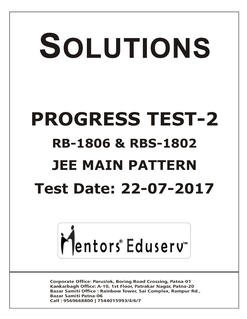# SOLUTIONS **PROGRESS TEST-2 RB-1806 & RBS-1802 JEE MAIN PATTERN Test Date: 22-07-2017**



**Corporate Office: Paruslok, Boring Road Crossing, Patna-01** Kankarbagh Office: A-10, 1st Floor, Patrakar Nagar, Patna-20 Bazar Samiti Office: Rainbow Tower, Sai Complex, Rampur Rd., **Bazar Samiti Patna-06** Call: 9569668800 | 7544015993/4/6/7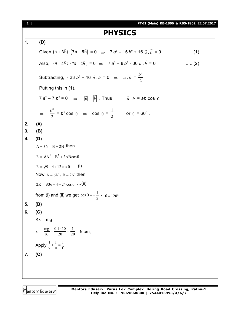[ **2** ] **PT-II (Main) RB-1806 & RBS-1802\_22.07.2017 PHYSICS 1. (D)** Given  $(\vec{a} + 3b) \cdot (7\vec{a} - 5b)$  $\vec{r}$   $\vec{r}$   $\vec{r}$   $\vec{r}$   $\vec{r}$  $= 0 \Rightarrow 7 a^2 - 15 b^2 + 16 \vec{a} \cdot \vec{b}$ **b**  $\ldots$  . (1) Also,  $(\vec{a} - 4\vec{b}) \cdot (7\vec{a} - 2\vec{b}) = 0 \implies 7$  a<sup>2</sup> + 8 b<sup>2</sup> - 30  $\vec{a} \cdot \vec{b}$  $\vec{a} \cdot \vec{b} = 0$  ....... (2) Subtracting,  $-23b^2 + 46\,\vec{a}\cdot\vec{b}$  $\vec{a} \cdot \vec{b} = 0 \Rightarrow \vec{a} \cdot \vec{b}$  $\vec{a} \cdot \vec{b} = \frac{b^2}{2}$ 2 Putting this in (1),  $7 a^2 - 7 b^2 = 0$   $\Rightarrow$  $|\vec{a}| = |\vec{b}|$  . Thus  $\vec{a} \cdot \vec{b}$  $\vec{a} \cdot \vec{b}$  =  $ab \cos \theta$  $\Rightarrow$   $\frac{b^2}{2}$ 2  $= b^2 \cos \theta \Rightarrow \cos \theta =$ 1  $\frac{1}{2}$  or  $\theta = 60^{\circ}$ . **2. (A) 3. (B) 4. (D)**  $A = 3N$ ,  $B = 2N$  then  $R = \sqrt{A^2 + B^2 + 2AB\cos\theta}$  $R = \sqrt{9 + 4 + 12 \cos \theta}$  ...(i) Now  $A = 6N$ ,  $B = 2N$  then  $2R = \sqrt{36 + 4 + 24 \cos \theta}$  ...(ii) from (i) and (ii) we get  $\cos \theta = -\frac{1}{2}$  $\cos \theta = -\frac{1}{2}$  :  $\theta = 120^{\circ}$ **5. (B) 6. (C)**  $Kx = mg$  $x = \frac{mg}{K} = \frac{0.1 \times 10}{20} = \frac{1}{20}$ 20  $0.1 \times 10$ K  $\frac{mg}{V} = \frac{0.1 \times 10}{20} = \frac{1}{20} = 5$  cm, Apply  $\frac{1}{v} + \frac{1}{u} = \frac{1}{f}$ u 1 v  $\frac{1}{-} + \frac{1}{-} =$ **7. (C)**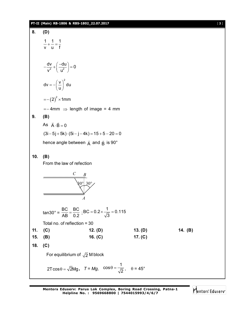## **PT-II (Main) RB-1806 & RBS-1802\_22.07.2017** [ **3** ]

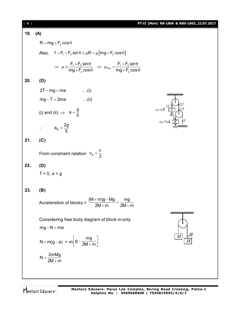| $[4]$ |                                                                                                                                                     | PT-II (Main) RB-1806 & RBS-1802_22.07.2017                                                                                                                                       |
|-------|-----------------------------------------------------------------------------------------------------------------------------------------------------|----------------------------------------------------------------------------------------------------------------------------------------------------------------------------------|
| 19.   | (A)                                                                                                                                                 |                                                                                                                                                                                  |
|       | $R = mg + F2 cos \theta$                                                                                                                            |                                                                                                                                                                                  |
|       | Also, $f = F_1 + F_2 \sin \theta \le \mu R = \mu [mg + F_2 \cos \theta]$                                                                            |                                                                                                                                                                                  |
|       | $\Rightarrow \mu \ge \frac{F_1 + F_2 \sin \theta}{mg + F_2 \cos \theta} \Rightarrow \mu_{min} = \frac{F_1 + F_2 \sin \theta}{mq + F_2 \cos \theta}$ |                                                                                                                                                                                  |
| 20.   | (D)                                                                                                                                                 |                                                                                                                                                                                  |
|       | $2T - mg = ma$ (i)                                                                                                                                  | <u> annonomono</u>                                                                                                                                                               |
|       | $mg - T = 2ma$ (ii)                                                                                                                                 |                                                                                                                                                                                  |
|       | (i) and (ii) $\Rightarrow$ $a = \frac{g}{5}$                                                                                                        | $a_{A}=a\uparrow \begin{array}{c} 2T & 2T \\ \hline A & 2T \\ mg \\ mg \\ a_{B}=2a\downarrow \begin{array}{c} 2T \\ \hline A \\ \hline B \\ \hline \Psi \end{array} \end{array}$ |
|       | $\therefore \qquad a_{\text{B}} = \frac{2g}{5}$                                                                                                     |                                                                                                                                                                                  |
| 21.   | (C)                                                                                                                                                 |                                                                                                                                                                                  |
|       | From constraint relation $V_B = \frac{V}{3}$                                                                                                        |                                                                                                                                                                                  |
| 22.   | (D)                                                                                                                                                 |                                                                                                                                                                                  |
|       | $T = 0, a = g$                                                                                                                                      |                                                                                                                                                                                  |
| 23.   | (B)                                                                                                                                                 |                                                                                                                                                                                  |
|       | $(M+m)g-Mg$<br>mg<br>Acceleration of blocks =<br>$2M + m$<br>$2M + m$                                                                               |                                                                                                                                                                                  |
|       | Considering free body diagram of block m only                                                                                                       |                                                                                                                                                                                  |
|       | $mg-N=ma$                                                                                                                                           |                                                                                                                                                                                  |
|       | $N = m(g - a) = m \left[ g - \frac{mg}{2M + m} \right]$                                                                                             | т                                                                                                                                                                                |
|       | $N = \frac{2mMg}{2M+m}$                                                                                                                             |                                                                                                                                                                                  |
|       |                                                                                                                                                     |                                                                                                                                                                                  |

Mentors<sup>e</sup> Eduserv<sup>-</sup>

**Mentors Eduserv: Parus Lok Complex, Boring Road Crossing, Patna-1 Helpline No. : 9569668800 | 7544015993/4/6/7**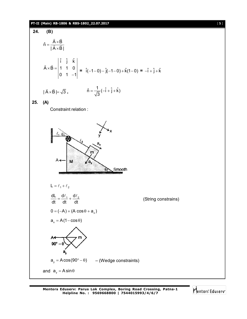#### **PT-II (Main) RB-1806 & RBS-1802\_22.07.2017** [ **5** ]

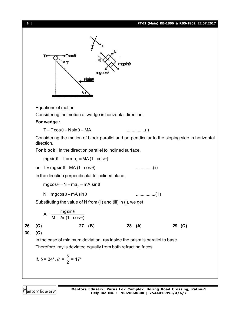

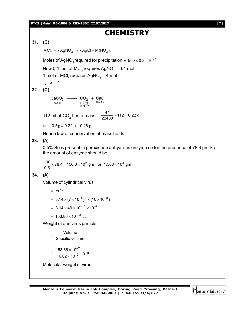#### **PT-II (Main) RB-1806 & RBS-1802\_22.07.2017** [ **7** ]

# **CHEMISTRY**

**31. (C)**

 $MCI_x + xAgNO_3 \rightarrow xAgCl + M(NO_3)_x$ 

Moles of AgNO $_3$ required for precipitation  $\,=\,$  500  $\times$  0.8  $\times$ 10 $^{-3}$ 

Now 0.1 mol of MCl<sub>x</sub> requires AgNO $_3$  = 0.4 mol

1 mol of MCl<sub>x</sub> requires AgNO<sub>3</sub> = 4 mol

 $\therefore$   $x = 4$ 

**32. (C)**

 $\begin{array}{ccc} 200 & 3 \rightarrow 0 & 240 \rightarrow 0.289 \rightarrow 0.289 \rightarrow 0.289 \rightarrow 0.289 \end{array}$  $\text{CaCO}_3 \longrightarrow \text{CO}_2 + \text{CaO}$ 

112 ml of CO<sub>2</sub> has a mass =  $\frac{44}{22400} \times 112 = 0.22$  g

or  $0.5g = 0.22 g + 0.28 g$ 

Hence law of conservation of mass holds.

# **33. (A)**

0.5% Se is present in peroxidase anhydrous enzyme so for the presence of 78.4 gm Se, the amount of enzyme should be

$$
\frac{100}{0.5} \times 78.4 = 156.8 \times 10^2 \text{ gm} \text{ or } 1.568 \times 10^4 \text{ gm}
$$

# **34. (A)**

Volume of cylindrical virus

= 
$$
\pi r^2 \ell
$$
  
\n=  $3.14 \times (7 \times 10^{-8})^2 \times (10 \times 10^{-8})$   
\n=  $3.14 \times 49 \times 10^{-16} \times 10^{-7}$   
\n=  $153.86 \times 10^{-23}$  cc

Weight of one virus particle

$$
= \frac{\text{Volume}}{\text{Specific volume}}
$$

$$
=\,\frac{153.86\times10^{-23}}{6.02\times10^{-2}}\,\text{gm}
$$

Molecular weight of virus

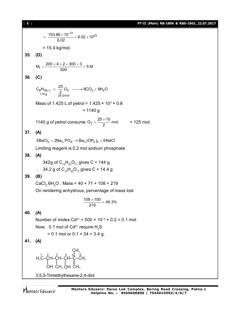$\frac{153.86 \times 10^{-21}}{6.02} \times 6.02 \times 10^{23}$  $=\frac{153.86\times10^{-21}}{0.00} \times 6.02\times1$  $= 15.4$  kg/mol. **35. (D)**  $M_f = \frac{200 \times 4 \times 2 + 300 \times 3}{500} = 5 M$  $=\frac{200\times4\times2+300\times3}{500}$ **36. (C)**  $8\cdot 18(\ell)$  +  $\frac{1}{2}$   $\cup$  2  $\longrightarrow$  0  $\cup$   $\cup$  2 + 31  $\cdot$  2  $114 g$   $25/2 mol$  $C_8H_{18(\ell)} + \frac{25}{2}O_2 \longrightarrow 8CO_2 + 9H_2O$ Mass of 1.425 L of petrol = 1.425  $\times$  10<sup>3</sup>  $\times$  0.8  $= 1140 g$ 1140 g of petrol consume  $O_2 = \frac{25 \times 10}{2}$  mol  $=\frac{25\times10}{2}$  mol = 125 mol. **37. (A)**  $3BaCl_2 + 2Na_3 PO_4 \rightarrow Ba_3 (OP_4)_2 + 6NaCl$ Limiting reagent is 0.2 mol sodium phosphate. **38. (A)** 342g of  $C_{12}H_{22}O_{11}$  gives C = 144 g  $\therefore$  34.2 g of C<sub>12</sub>H<sub>22</sub>O<sub>11</sub> gives C = 14.4 g **39. (B)** CaCl<sub>2</sub>.6H<sub>2</sub>O ; Mass = 40 + 71 + 108 = 219 On rendering anhydrous, percentage of mass lost  $\frac{108 \times 100}{219} = 49.3\%$  $\frac{\times 100}{10}$  = **40. (A)** Number of moles  $Cd^{2+} = 500 \times 10^{-3} \times 0.2 = 0.1$  mol Now, 0.1 mol of  $Cd^{2+}$  require  $H_2S$  $= 0.1$  mol or  $0.1 \times 34 = 3.4$  g. **41. (A)** H C–CH–CH–CH–C–CH 3 3 1 2 3 4 5  $\mathsf{CH}_3$  $\mathsf{CH}_3$ 6 OH  $\mathsf{CH}_3\,\mathsf{OH}$ 3,5,5-Trimethylhexane-2,4-diol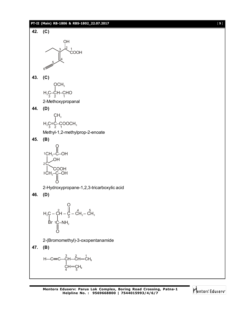#### **PT-II (Main) RB-1806 & RBS-1802\_22.07.2017** [ **9** ]



**47. (B)**

$$
\begin{array}{c}\nH - C = C - \ddot{C}H - \ddot{C}H = \dot{C}H_2 \\
\downarrow \\
C H = \underset{5}{C}H_2\n\end{array}
$$

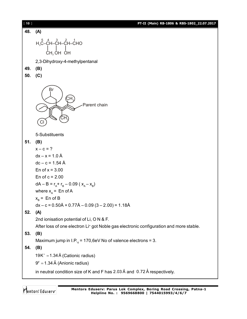[ **10** ] **PT-II (Main) RB-1806 & RBS-1802\_22.07.2017 48. (A)** н <sub>з</sub>С-Сн-Сн-Сно CH<sup>3</sup> OH OH 2,3-Dihydroxy-4-methylpentanal **49. (B) 50. (C)** Br  $\mathsf{CH}_3$  $\mathsf{CH}_3^3$ Cl Parent chain 5-Substituents **51. (B)**  $x - c = ?$  $dx - x = 1.0 \text{ Å}$  $dc - c = 1.54$  Å En of  $x = 3.00$ En of  $c = 2.00$  $dA - B = r_A + r_B - 0.09 (x_A - x_B)$ where  $\mathsf{x}_{\mathsf{A}}$  =  $\,$  En of A  $x_{\rm B}$  = En of B  $dx - c = 0.50\text{\AA} + 0.77\text{\AA} - 0.09(3 - 2.00) = 1.18\text{\AA}$ **52. (A)** 2nd ionisation potential of Li, O N & F. After loss of one electron Li<sup>+</sup> got Noble gas electronic configuration and more stable. **53. (B)** Maximum jump in  $I.P_{4}$  = 170,6eV No of valence electrons = 3. **54. (B)**  $19K^+ = 1.34 \text{ Å}$  (Cationic radius)  $9<sup>F</sup> = 1.34 \text{ Å}$  (Anionic radius) in neutral condition size of K and F has 2.03  $\rm \AA$  and 0.72  $\rm \AA$  respectively.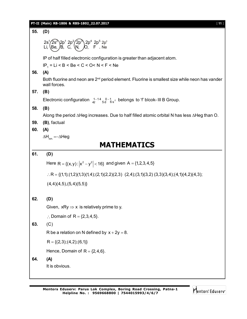|     | PT-II (Main) RB-1806 & RBS-1802_22.07.2017<br>$[11]$                                                                        |
|-----|-----------------------------------------------------------------------------------------------------------------------------|
| 55. | (D)                                                                                                                         |
|     | $2s^1/2s^2$ $2p^1 2p^2/2p^3$ $2p^4 2p^5 2p^6$<br>Li, $\left(Be, \frac{1}{10}B, \frac{1}{10}C, \frac{1}{10}C\right)$ , F, Ne |
|     | IP of half filled electronic configuration is greater than adjacent atom.                                                   |
|     | $IP_1 = Li < B < Be < C < O < N < F < Ne$                                                                                   |
| 56. | (A)                                                                                                                         |
|     | Both fluorine and neon are 2 <sup>nd</sup> period element. Fluorine is smallest size while neon has vander<br>wall forces.  |
| 57. | (B)                                                                                                                         |
|     | Electronic configuration $1-14$ $0-1$ $68$ belongs to 'f' blcok-III B Group.                                                |
| 58. | (B)                                                                                                                         |
|     | Along the period $\triangle$ Heg increases. Due to half filled atomic orbital N has less $\triangle$ Heg than O.            |
| 59. | (B), factual                                                                                                                |
| 60. | (A)<br>$\Delta H_{\text{ion}} = -\Delta H$ eg                                                                               |
|     | <b>MATHEMATICS</b>                                                                                                          |
|     |                                                                                                                             |
| 61. | (D)                                                                                                                         |
|     | Here R = {(x, y): $ x^2 - y^2 $ < 16} and given A = {1, 2, 3, 4, 5}                                                         |
|     | $\therefore$ R = {(1,1); (1,2)(1,3)(1,4); (2,1)(2,2)(2,3) (2,4); (3,1)(3,2) (3,3)(3,4); (4,1)(4,2)(4,3);                    |
|     | (4,4)(4,5),(5,4)(5,5)                                                                                                       |
| 62. | (D)                                                                                                                         |
|     | Given, $xRy \Rightarrow x$ is relatively prime to y.                                                                        |
|     | : Domain of R = $\{2,3,4,5\}$ .                                                                                             |
| 63. | (C)                                                                                                                         |
|     | R be a relation on N defined by $x + 2y = 8$ .                                                                              |
|     | $R = \{(2,3); (4,2); (6,1)\}$                                                                                               |
|     | Hence, Domain of $R = \{2, 4, 6\}$ .                                                                                        |
| 64. | (A)                                                                                                                         |
|     | It is obvious.                                                                                                              |
|     |                                                                                                                             |

Mentors<sup>e</sup> Eduserv<sup>-</sup>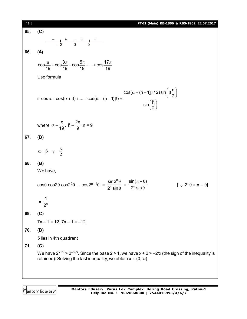| $[12]$ | PT-II (Main) RB-1806 & RBS-1802_22.07.2017                                                                                                                                                |
|--------|-------------------------------------------------------------------------------------------------------------------------------------------------------------------------------------------|
| 65.    | (C)                                                                                                                                                                                       |
|        |                                                                                                                                                                                           |
|        |                                                                                                                                                                                           |
| 66.    | (A)                                                                                                                                                                                       |
|        | $\cos\frac{\pi}{19} + \cos\frac{3\pi}{19} + \cos\frac{5\pi}{19} +  + \cos\frac{17\pi}{19}$                                                                                                |
|        | Use formula                                                                                                                                                                               |
|        | if $\cos \alpha + \cos(\alpha + \beta) +  + \cos(\alpha + (n-1)\beta) = \frac{\cos(\alpha + (n-1)\beta / 2)\sin(\beta \frac{n}{2})}{\sin(\beta \frac{\beta}{2})}$                         |
|        | where $\alpha = \frac{\pi}{19}$ , $\beta = \frac{2\pi}{9}$ , $n = 9$                                                                                                                      |
| 67.    | (B)                                                                                                                                                                                       |
|        | $\alpha = \beta = \gamma = \frac{\pi}{2}$                                                                                                                                                 |
| 68.    | (B)                                                                                                                                                                                       |
|        | We have,                                                                                                                                                                                  |
|        | $\cos\theta \cos2\theta \cos2^{2}\theta$ $\cos2^{n-1}\theta = \frac{\sin2^{n}\theta}{2^{n}\sin\theta} = \frac{\sin(\pi-\theta)}{2^{n}\sin\theta}$<br>$[\cdot; 2^n \theta = \pi - \theta]$ |
|        | $2^n$                                                                                                                                                                                     |
| 69.    | (C)                                                                                                                                                                                       |
|        | $7x - 1 = 12$ , $7x - 1 = -12$                                                                                                                                                            |
| 70.    | (B)                                                                                                                                                                                       |
|        | 5 lies in 4th quadrant                                                                                                                                                                    |
| 71.    | (C)                                                                                                                                                                                       |
|        | We have $2^{x+2}$ > $2^{-2/x}$ . Since the base 2 > 1, we have $x + 2$ > -2/x (the sign of the inequality is<br>retained). Solving the last inequality, we obtain $x \in (0, \infty)$     |
|        |                                                                                                                                                                                           |

Mentors<sup>®</sup> Eduserv<sup>®</sup>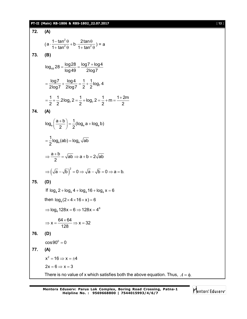### **PT-II (Main) RB-1806 & RBS-1802\_22.07.2017** [ **13** ]

72. (A)  
\n(a) 
$$
\frac{1-\tan^2\theta}{1+\tan^2\theta} + b \cdot \frac{2\tan\theta}{1+\tan^2\theta} = a
$$
  
\n73. (B)  
\n10g<sub>40</sub> 28 =  $\frac{\log 28}{\log 49} = \frac{\log 7 + \log 4}{2\log 7}$   
\n=  $\frac{\log 7}{2\log 7} + \frac{\log 4}{2\log 7} = \frac{1}{2} + \frac{1}{2}\log_7 4$   
\n=  $\frac{1}{2} + \frac{1}{2} \cdot 2\log_7 2 = \frac{1}{2} + \log_7 2 = \frac{1}{2} + m = \frac{1+2m}{2}$   
\n74. (A)  
\n $\log_a \left(\frac{a+b}{2}\right) = \frac{1}{2}(\log_a a + \log_a b)$   
\n=  $\frac{1}{2}\log_a (ab) = \log_a \sqrt{ab}$   
\n⇒  $\frac{a+b}{2} = \sqrt{ab} \Rightarrow a+b = 2\sqrt{ab}$   
\n⇒  $(\sqrt{a} - \sqrt{b})^2 = 0 \Rightarrow \sqrt{a} - \sqrt{b} = 0 \Rightarrow a = b$ .  
\n75. (D)  
\nIf  $\log_a 2 + \log_a 4 + \log_a 16 + \log_a x = 6$   
\nthen  $\log_a (2 \times 4 \times 16 \times x) = 6$   
\n⇒  $\log_a 128x = 6 \Rightarrow 128x = 4^6$   
\n⇒  $x = \frac{64 \times 64}{128} \Rightarrow x = 32$   
\n76. (D)  
\n $\cos 90^0 = 0$   
\n77. (A)  
\n $x^2 = 16 \Rightarrow x = \pm 4$   
\n2x = 6 ⇒ x = 3  
\nThere is no value of x which satisfies both the above equation. Thus,  $A = \phi$ .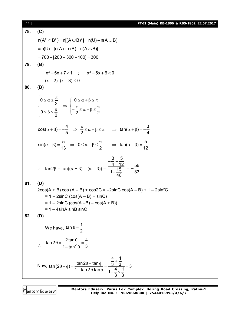| $[14]$ | PT-II (Main) RB-1806 & RBS-1802_22.07.2017                                                                                                                                                                                    |
|--------|-------------------------------------------------------------------------------------------------------------------------------------------------------------------------------------------------------------------------------|
| 78.    | (C)                                                                                                                                                                                                                           |
|        | $n(A^c \cap B^c) = n[(A \cup B)^c] = n(U) - n(A \cup B)$                                                                                                                                                                      |
|        | $= n(U) - [n(A) + n(B) - n(A \cap B)]$                                                                                                                                                                                        |
|        | $= 700 - [200 + 300 - 100] = 300.$                                                                                                                                                                                            |
| 79.    | (B)                                                                                                                                                                                                                           |
|        | $x^2-5x+7<1$ ; $x^2-5x+6<0$                                                                                                                                                                                                   |
|        | $(x-2)$ $(x-3) < 0$                                                                                                                                                                                                           |
| 80.    | (B)                                                                                                                                                                                                                           |
|        | $\begin{cases} 0 \leq \alpha \leq \frac{\pi}{2} \\ 0 \leq \beta \leq \frac{\pi}{2} \end{cases} \Rightarrow \begin{cases} 0 \leq \alpha + \beta \leq \pi \\ -\frac{\pi}{2} \leq \alpha - \beta \leq \frac{\pi}{2} \end{cases}$ |
|        |                                                                                                                                                                                                                               |
|        | $cos(\alpha + \beta) = -\frac{4}{5}$ $\Rightarrow \frac{\pi}{2} \le \alpha + \beta \le \pi$ $\Rightarrow tan(\alpha + \beta) = -\frac{3}{4}$                                                                                  |
|        | $sin(\alpha - \beta) = \frac{5}{13}$ $\Rightarrow 0 \le \alpha - \beta \le \frac{\pi}{2}$ $\Rightarrow tan(\alpha - \beta) = \frac{5}{12}$                                                                                    |
|        | ∴ tan2β = tan(( $\alpha$ + β) – ( $\alpha$ – β)) = $\frac{-\frac{3}{4} - \frac{5}{12}}{1 - \frac{15}{12}} = -\frac{56}{33}$                                                                                                   |
| 81.    | (D)                                                                                                                                                                                                                           |
|        | $2\cos(A + B) \cos(A - B) + \cos(2C) = -2\sin(C) \cos(A - B) + 1 - 2\sin^2(C)$                                                                                                                                                |
|        | $= 1 - 2\sin C$ (cos(A – B) + sinC)<br>$= 1 - 2\sin C$ (cos(A -B) – cos(A + B))                                                                                                                                               |
|        | $= 1 - 4 \sin A \sin B \sin C$                                                                                                                                                                                                |
| 82.    | (D)                                                                                                                                                                                                                           |
|        | We have, $\tan \theta = \frac{1}{2}$                                                                                                                                                                                          |
|        | $\tan 2\theta = \frac{2\tan\theta}{1-\tan^2\theta} = \frac{4}{3}$                                                                                                                                                             |
|        | Now, $\tan(2\theta + \phi) = \frac{\tan 2\theta + \tan \phi}{1 - \tan 2\theta \tan \phi} = \frac{\frac{1}{3} + \frac{1}{3}}{1 - \frac{4}{3} \times \frac{1}{3}} = 3$                                                          |

Mentors<sup>®</sup> Eduserv<sup>®</sup>